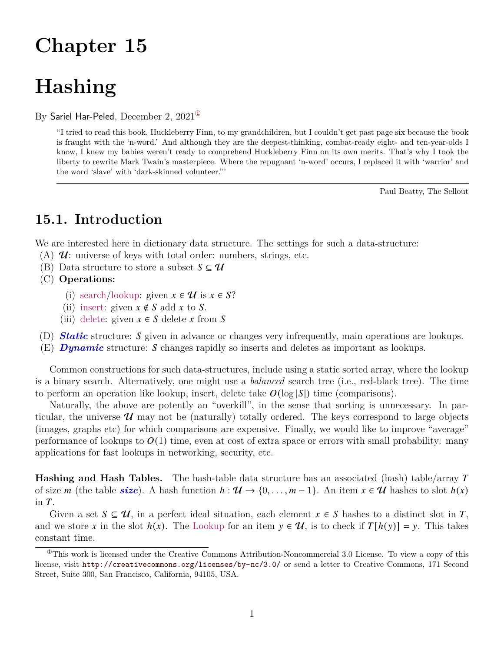# **Chapter 15**

# **Hashing**

By Sariel Har-Peled, December 2,  $2021^{\circ}$ 

"I tried to read this book, Huckleberry Finn, to my grandchildren, but I couldn't get past page six because the book is fraught with the 'n-word.' And although they are the deepest-thinking, combat-ready eight- and ten-year-olds I know, I knew my babies weren't ready to comprehend Huckleberry Finn on its own merits. That's why I took the liberty to rewrite Mark Twain's masterpiece. Where the repugnant 'n-word' occurs, I replaced it with 'warrior' and the word 'slave' with 'dark-skinned volunteer."'

Paul Beatty, The Sellout

## **15.1. Introduction**

We are interested here in dictionary data structure. The settings for such a data-structure:

- (A)  $\mathcal{U}$ : universe of keys with total order: numbers, strings, etc.
- (B) Data structure to store a subset  $S \subseteq \mathcal{U}$
- (C) **Operations:**
	- (i) search/lookup: given  $x \in \mathcal{U}$  is  $x \in S$ ?
	- (ii) insert: given  $x \notin S$  add x to S.
	- (iii) delete: given  $x \in S$  delete x from S
- (D) *Static* structure: given in advance or changes very infrequently, main operations are lookups.
- (E) **Dynamic** structure: S changes rapidly so inserts and deletes as important as lookups.

Common constructions for such data-structures, include using a static sorted array, where the lookup is a binary search. Alternatively, one might use a *balanced* search tree (i.e., red-black tree). The time to perform an operation like lookup, insert, delete take  $O(\log |S|)$  time (comparisons).

Naturally, the above are potently an "overkill", in the sense that sorting is unnecessary. In particular, the universe  $\mathcal U$  may not be (naturally) totally ordered. The keys correspond to large objects (images, graphs etc) for which comparisons are expensive. Finally, we would like to improve "average" performance of lookups to  $O(1)$  time, even at cost of extra space or errors with small probability: many applications for fast lookups in networking, security, etc.

**Hashing and Hash Tables.** The hash-table data structure has an associated (hash) table/array T of size *m* (the table *size*). A hash function  $h : \mathcal{U} \to \{0, \ldots, m-1\}$ . An item  $x \in \mathcal{U}$  hashes to slot  $h(x)$ in  $T$ .

Given a set  $S \subseteq \mathcal{U}$ , in a perfect ideal situation, each element  $x \in S$  hashes to a distinct slot in T, and we store x in the slot  $h(x)$ . The Lookup for an item  $y \in U$ , is to check if  $T[h(y)] = y$ . This takes constant time.

<span id="page-0-0"></span> $^{\circ}$ This work is licensed under the Creative Commons Attribution-Noncommercial 3.0 License. To view a copy of this license, visit <http://creativecommons.org/licenses/by-nc/3.0/> or send a letter to Creative Commons, 171 Second Street, Suite 300, San Francisco, California, 94105, USA.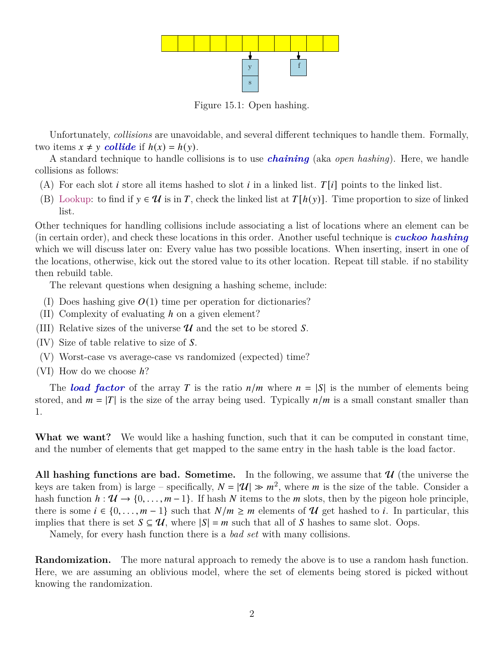

Figure 15.1: Open hashing.

Unfortunately, *collisions* are unavoidable, and several different techniques to handle them. Formally, two items  $x \neq y$  *collide* if  $h(x) = h(y)$ .

A standard technique to handle collisions is to use *chaining* (aka *open hashing*). Here, we handle collisions as follows:

- (A) For each slot *i* store all items hashed to slot *i* in a linked list.  $T[i]$  points to the linked list.
- (B) Lookup: to find if  $y \in \mathcal{U}$  is in T, check the linked list at  $T[h(y)]$ . Time proportion to size of linked list.

Other techniques for handling collisions include associating a list of locations where an element can be (in certain order), and check these locations in this order. Another useful technique is *cuckoo hashing* which we will discuss later on: Every value has two possible locations. When inserting, insert in one of the locations, otherwise, kick out the stored value to its other location. Repeat till stable. if no stability then rebuild table.

The relevant questions when designing a hashing scheme, include:

- (I) Does hashing give  $O(1)$  time per operation for dictionaries?
- (II) Complexity of evaluating  $h$  on a given element?
- (III) Relative sizes of the universe  $\mathcal U$  and the set to be stored S.
- $(IV)$  Size of table relative to size of S.
- (V) Worst-case vs average-case vs randomized (expected) time?
- $(VI)$  How do we choose  $h$ ?

The *load factor* of the array T is the ratio  $n/m$  where  $n = |S|$  is the number of elements being stored, and  $m = |T|$  is the size of the array being used. Typically  $n/m$  is a small constant smaller than 1.

**What we want?** We would like a hashing function, such that it can be computed in constant time, and the number of elements that get mapped to the same entry in the hash table is the load factor.

All hashing functions are bad. Sometime. In the following, we assume that  $\mathcal{U}$  (the universe the keys are taken from) is large – specifically,  $N = |\mathcal{U}| \gg m^2$ , where m is the size of the table. Consider a hash function  $h: \mathcal{U} \to \{0, \ldots, m-1\}$ . If hash N items to the *m* slots, then by the pigeon hole principle, there is some  $i \in \{0, \ldots, m-1\}$  such that  $N/m \ge m$  elements of  $\mathcal U$  get hashed to i. In particular, this implies that there is set  $S \subseteq \mathcal{U}$ , where  $|S| = m$  such that all of S hashes to same slot. Oops.

Namely, for every hash function there is a *bad set* with many collisions.

**Randomization.** The more natural approach to remedy the above is to use a random hash function. Here, we are assuming an oblivious model, where the set of elements being stored is picked without knowing the randomization.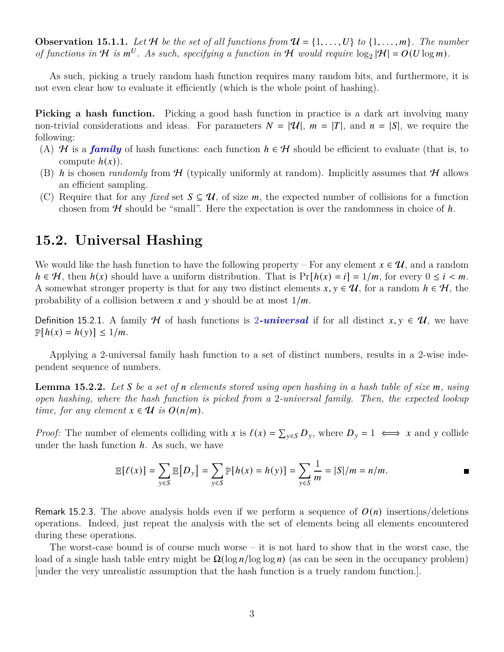**Observation 15.1.1.** Let H be the set of all functions from  $\mathcal{U} = \{1, \ldots, U\}$  to  $\{1, \ldots, m\}$ . The number of functions in  $H$  is  $m^U$ . As such, specifying a function in  $H$  would require  $\log_2 |H| = O(U \log m)$ .

As such, picking a truely random hash function requires many random bits, and furthermore, it is not even clear how to evaluate it efficiently (which is the whole point of hashing).

**Picking a hash function.** Picking a good hash function in practice is a dark art involving many non-trivial considerations and ideas. For parameters  $N = |\mathcal{U}|$ ,  $m = |T|$ , and  $n = |S|$ , we require the following:

- (A) H is a *family* of hash functions: each function  $h \in \mathcal{H}$  should be efficient to evaluate (that is, to compute  $h(x)$ ).
- (B) h is chosen *randomly* from  $H$  (typically uniformly at random). Implicitly assumes that H allows an efficient sampling.
- (C) Require that for any *fixed* set  $S \subseteq \mathcal{U}$ , of size m, the expected number of collisions for a function chosen from  $H$  should be "small". Here the expectation is over the randomness in choice of  $h$ .

## **15.2. Universal Hashing**

We would like the hash function to have the following property – For any element  $x \in \mathcal{U}$ , and a random  $h \in \mathcal{H}$ , then  $h(x)$  should have a uniform distribution. That is  $Pr[h(x) = i] = 1/m$ , for every  $0 \le i \le m$ . A somewhat stronger property is that for any two distinct elements  $x, y \in \mathcal{U}$ , for a random  $h \in \mathcal{H}$ , the probability of a collision between x and y should be at most  $1/m$ .

<span id="page-2-0"></span>Definition 15.2.1. A family H of hash functions is 2*-universal* if for all distinct  $x, y \in \mathcal{U}$ , we have  $\mathbb{P}[h(x) = h(y)] \leq 1/m.$ 

Applying a 2-universal family hash function to a set of distinct numbers, results in a 2-wise independent sequence of numbers.

**Lemma 15.2.2.** Let S be a set of n elements stored using open hashing in a hash table of size m, using *open hashing, where the hash function is picked from a* 2*-universal family. Then, the expected lookup time, for any element*  $x \in \mathcal{U}$  *is*  $O(n/m)$ *.* 

*Proof:* The number of elements colliding with x is  $\ell(x) = \sum_{y \in S} D_y$ , where  $D_y = 1 \iff x$  and y collide under the hash function  $h$ . As such, we have

$$
\mathbb{E}[\ell(x)] = \sum_{y \in S} \mathbb{E}[D_y] = \sum_{y \in S} \mathbb{P}[h(x) = h(y)] = \sum_{y \in S} \frac{1}{m} = |S|/m = n/m.
$$

Remark 15.2.3. The above analysis holds even if we perform a sequence of  $O(n)$  insertions/deletions operations. Indeed, just repeat the analysis with the set of elements being all elements encountered during these operations.

The worst-case bound is of course much worse – it is not hard to show that in the worst case, the load of a single hash table entry might be  $\Omega(\log n / \log \log n)$  (as can be seen in the occupancy problem) [under the very unrealistic assumption that the hash function is a truely random function.].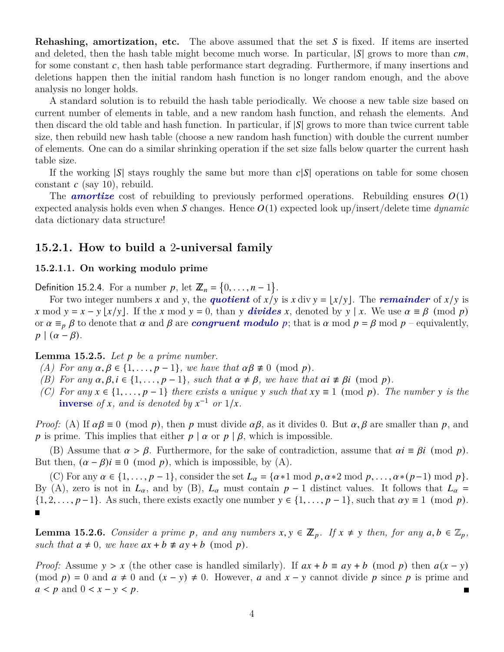**Rehashing, amortization, etc.** The above assumed that the set S is fixed. If items are inserted and deleted, then the hash table might become much worse. In particular,  $|S|$  grows to more than  $cm$ , for some constant  $c$ , then hash table performance start degrading. Furthermore, if many insertions and deletions happen then the initial random hash function is no longer random enough, and the above analysis no longer holds.

A standard solution is to rebuild the hash table periodically. We choose a new table size based on current number of elements in table, and a new random hash function, and rehash the elements. And then discard the old table and hash function. In particular, if  $|S|$  grows to more than twice current table size, then rebuild new hash table (choose a new random hash function) with double the current number of elements. One can do a similar shrinking operation if the set size falls below quarter the current hash table size.

If the working  $|S|$  stays roughly the same but more than  $c|S|$  operations on table for some chosen constant  $c$  (say 10), rebuild.

The **amortize** cost of rebuilding to previously performed operations. Rebuilding ensures  $O(1)$ expected analysis holds even when S changes. Hence  $O(1)$  expected look up/insert/delete time *dynamic* data dictionary data structure!

### **15.2.1. How to build a** 2**-universal family**

#### **15.2.1.1. On working modulo prime**

Definition 15.2.4. For a number p, let  $\mathbb{Z}_n = \{0, \ldots, n-1\}.$ 

For two integer numbers x and y, the **quotient** of  $x/y$  is x div  $y = |x/y|$ . The *remainder* of  $x/y$  is x mod  $y = x - y \lfloor x/y \rfloor$ . If the x mod  $y = 0$ , than y **divides** x, denoted by  $y \mid x$ . We use  $\alpha \equiv \beta \pmod{p}$ or  $\alpha \equiv_p \beta$  to denote that  $\alpha$  and  $\beta$  are *congruent modulo* p; that is  $\alpha$  mod  $p = \beta$  mod  $p$  – equivalently,  $p \mid (\alpha - \beta).$ 

#### **Lemma 15.2.5.** *Let be a prime number.*

- *(A)* For any  $\alpha, \beta \in \{1, \ldots, p-1\}$ , we have that  $\alpha\beta \neq 0 \pmod{p}$ .
- *(B) For any*  $\alpha, \beta, i \in \{1, \ldots, p-1\}$ *, such that*  $\alpha \neq \beta$ *, we have that*  $\alpha i \not\equiv \beta i \pmod{p}$ *.*
- *(C)* For any  $x \in \{1, \ldots, p-1\}$  there exists a unique y such that  $xy \equiv 1 \pmod{p}$ . The number y is the **inverse** of *x*, and is denoted by  $x^{-1}$  or  $1/x$ .

*Proof:* (A) If  $\alpha\beta \equiv 0 \pmod{p}$ , then p must divide  $\alpha\beta$ , as it divides 0. But  $\alpha, \beta$  are smaller than p, and p is prime. This implies that either  $p | \alpha$  or  $p | \beta$ , which is impossible.

(B) Assume that  $\alpha > \beta$ . Furthermore, for the sake of contradiction, assume that  $\alpha i \equiv \beta i \pmod{p}$ . But then,  $(\alpha - \beta)i \equiv 0 \pmod{p}$ , which is impossible, by (A).

(C) For any  $\alpha \in \{1, \ldots, p-1\}$ , consider the set  $L_{\alpha} = \{\alpha * 1 \mod p, \alpha * 2 \mod p, \ldots, \alpha * (p-1) \mod p\}.$ By (A), zero is not in  $L_{\alpha}$ , and by (B),  $L_{\alpha}$  must contain  $p-1$  distinct values. It follows that  $L_{\alpha}$  =  $\{1, 2, \ldots, p-1\}$ . As such, there exists exactly one number  $y \in \{1, \ldots, p-1\}$ , such that  $\alpha y \equiv 1 \pmod{p}$ .

<span id="page-3-0"></span>**Lemma 15.2.6.** *Consider a prime p, and any numbers*  $x, y \in \mathbb{Z}_p$ . If  $x \neq y$  then, for any  $a, b \in \mathbb{Z}_p$ , *such that*  $a \neq 0$ *, we have*  $ax + b \neq ay + b \pmod{p}$ *.* 

<span id="page-3-1"></span>*Proof:* Assume  $y > x$  (the other case is handled similarly). If  $ax + b \equiv ay + b \pmod{p}$  then  $a(x - y)$ (mod  $p$ ) = 0 and  $a \neq 0$  and  $(x - y) \neq 0$ . However, a and  $x - y$  cannot divide p since p is prime and  $a < p$  and  $0 < x - y < p$ .  $\blacksquare$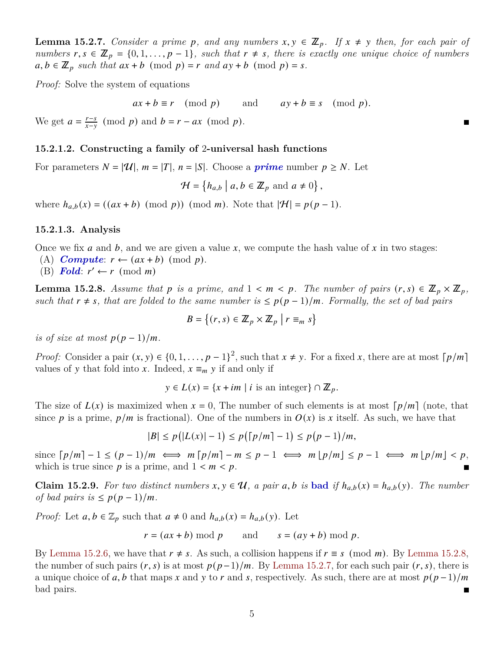**Lemma 15.2.7.** *Consider a prime p, and any numbers*  $x, y \in \mathbb{Z}_p$ . If  $x \neq y$  then, for each pair of *numbers*  $r, s \in \mathbb{Z}_p = \{0, 1, \ldots, p-1\}$ , such that  $r \neq s$ , there is exactly one unique choice of numbers  $a, b \in \mathbb{Z}_p$  such that  $ax + b \pmod{p} = r$  and  $ay + b \pmod{p} = s$ .

*Proof:* Solve the system of equations

 $ax + b \equiv r \pmod{p}$  and  $ay + b \equiv s \pmod{p}$ .

We get  $a = \frac{r-s}{r-s}$  $\frac{r-s}{x-y}$  (mod *p*) and  $b = r - ax$  (mod *p*).

#### **15.2.1.2. Constructing a family of** 2**-universal hash functions**

For parameters  $N = |\mathcal{U}|$ ,  $m = |T|$ ,  $n = |S|$ . Choose a *prime* number  $p \geq N$ . Let

 $\mathcal{H} = \{h_{a,b} \mid a, b \in \mathbb{Z}_p \text{ and } a \neq 0\},\$ 

where  $h_{a,b}(x) = ((ax + b) \pmod{p}) \pmod{m}$ . Note that  $|\mathcal{H}| = p(p-1)$ .

#### **15.2.1.3. Analysis**

Once we fix *a* and *b*, and we are given a value x, we compute the hash value of x in two stages:

- (A) **Compute:**  $r \leftarrow (ax + b) \pmod{p}$ .
- (B) **Fold**:  $r' \leftarrow r \pmod{m}$

<span id="page-4-0"></span>**Lemma 15.2.8.** Assume that p is a prime, and  $1 < m < p$ . The number of pairs  $(r, s) \in \mathbb{Z}_p \times \mathbb{Z}_p$ , *such that*  $r \neq s$ , that are folded to the same number is  $\leq p(p-1)/m$ . Formally, the set of bad pairs

$$
B = \left\{ (r, s) \in \mathbb{Z}_p \times \mathbb{Z}_p \mid r \equiv_m s \right\}
$$

*is of size at most*  $p(p-1)/m$ .

*Proof:* Consider a pair  $(x, y) \in \{0, 1, \ldots, p-1\}^2$ , such that  $x \neq y$ . For a fixed x, there are at most  $\lceil p/m \rceil$ values of y that fold into x. Indeed,  $x \equiv_m y$  if and only if

 $y \in L(x) = \{x + im \mid i \text{ is an integer}\} \cap \mathbb{Z}_p.$ 

The size of  $L(x)$  is maximized when  $x = 0$ , The number of such elements is at most  $\lceil p/m \rceil$  (note, that since p is a prime,  $p/m$  is fractional). One of the numbers in  $O(x)$  is x itself. As such, we have that

 $|B| \le p(|L(x)| - 1) \le p(|p/m| - 1) \le p(p - 1)/m,$ 

since  $\lceil p/m \rceil - 1 \le (p-1)/m \iff m \lceil p/m \rceil - m \le p - 1 \iff m \lfloor p/m \rfloor \le p - 1 \iff m \lfloor p/m \rfloor < p$ , which is true since p is a prime, and  $1 < m < p$ .

<span id="page-4-1"></span>**Claim 15.2.9.** For two distinct numbers  $x, y \in \mathcal{U}$ , a pair  $a, b$  is **bad** if  $h_{a,b}(x) = h_{a,b}(y)$ . The number *of bad pairs is*  $\leq p(p-1)/m$ .

*Proof:* Let  $a, b \in \mathbb{Z}_p$  such that  $a \neq 0$  and  $h_{a,b}(x) = h_{a,b}(y)$ . Let

$$
r = (ax + b) \bmod p
$$
 and  $s = (ay + b) \bmod p$ .

<span id="page-4-2"></span>By [Lemma 15.2.6,](#page-3-0) we have that  $r \neq s$ . As such, a collision happens if  $r \equiv s \pmod{m}$ . By [Lemma 15.2.8,](#page-4-0) the number of such pairs  $(r, s)$  is at most  $p(p-1)/m$ . By [Lemma 15.2.7,](#page-3-1) for each such pair  $(r, s)$ , there is a unique choice of a, b that maps x and y to r and s, respectively. As such, there are at most  $p(p-1)/m$ bad pairs.  $\blacksquare$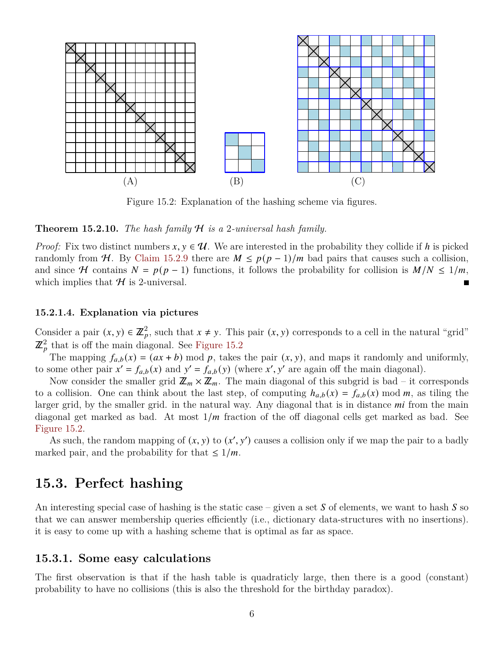<span id="page-5-0"></span>

Figure 15.2: Explanation of the hashing scheme via figures.

#### **Theorem 15.2.10.** *The hash family* H *is a* 2*-universal hash family.*

*Proof:* Fix two distinct numbers  $x, y \in \mathcal{U}$ . We are interested in the probability they collide if h is picked randomly from H. By [Claim 15.2.9](#page-4-1) there are  $M \leq p(p-1)/m$  bad pairs that causes such a collision, and since H contains  $N = p(p-1)$  functions, it follows the probability for collision is  $M/N \le 1/m$ , which implies that  $H$  is 2-universal.

#### **15.2.1.4. Explanation via pictures**

Consider a pair  $(x, y) \in \mathbb{Z}_p^2$ , such that  $x \neq y$ . This pair  $(x, y)$  corresponds to a cell in the natural "grid"  $\mathbb{Z}_p^2$  that is off the main diagonal. See [Figure 15.2](#page-5-0)

The mapping  $f_{a,b}(x) = (ax + b) \mod p$ , takes the pair  $(x, y)$ , and maps it randomly and uniformly, to some other pair  $x' = f_{a,b}(x)$  and  $y' = f_{a,b}(y)$  (where x', y' are again off the main diagonal).

Now consider the smaller grid  $\mathbb{Z}_m \times \mathbb{Z}_m$ . The main diagonal of this subgrid is bad – it corresponds to a collision. One can think about the last step, of computing  $h_{a,b}(x) = f_{a,b}(x) \text{ mod } m$ , as tiling the larger grid, by the smaller grid. in the natural way. Any diagonal that is in distance  $mi$  from the main diagonal get marked as bad. At most  $1/m$  fraction of the off diagonal cells get marked as bad. See [Figure 15.2.](#page-5-0)

As such, the random mapping of  $(x, y)$  to  $(x', y')$  causes a collision only if we map the pair to a badly marked pair, and the probability for that  $\leq 1/m$ .

## **15.3. Perfect hashing**

An interesting special case of hashing is the static case – given a set  $S$  of elements, we want to hash  $S$  so that we can answer membership queries efficiently (i.e., dictionary data-structures with no insertions). it is easy to come up with a hashing scheme that is optimal as far as space.

#### **15.3.1. Some easy calculations**

<span id="page-5-1"></span>The first observation is that if the hash table is quadraticly large, then there is a good (constant) probability to have no collisions (this is also the threshold for the birthday paradox).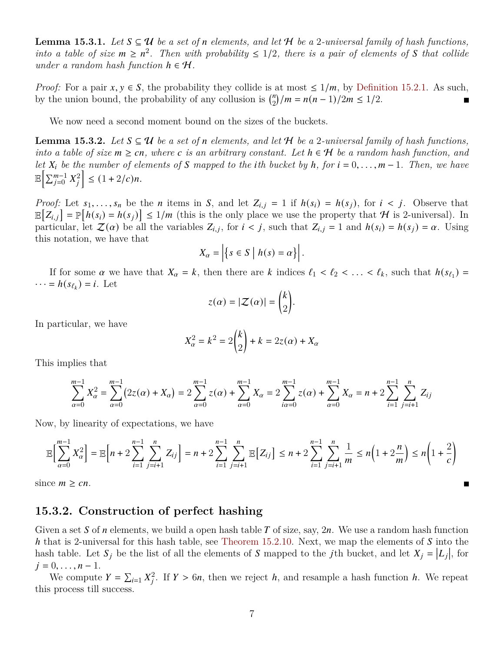**Lemma 15.3.1.** *Let*  $S \subseteq \mathcal{U}$  *be a set of n elements, and let*  $\mathcal{H}$  *be a* 2*-universal family of hash functions, into a table of size*  $m \geq n^2$ . Then with probability  $\leq 1/2$ , there is a pair of elements of S that collide *under a random hash function*  $h \in \mathcal{H}$ .

*Proof:* For a pair  $x, y \in S$ , the probability they collide is at most  $\leq 1/m$ , by [Definition 15.2.1.](#page-2-0) As such, by the union bound, the probability of any collusion is  $\binom{n}{2}$  $n_2^n$ /m =  $n(n-1)/2m \le 1/2$ .

We now need a second moment bound on the sizes of the buckets.

<span id="page-6-0"></span>**Lemma 15.3.2.** Let  $S \subseteq \mathcal{U}$  be a set of *n* elements, and let  $\mathcal{H}$  be a 2*-universal family of hash functions*, *into a table of size*  $m \geq cn$ , where c is an arbitrary constant. Let  $h \in \mathcal{H}$  be a random hash function, and *let*  $X_i$  be the number of elements of S mapped to the *i*th bucket by  $h$ , for  $i = 0, \ldots, m-1$ . Then, we have  $\mathbb{E}\Big[\sum_{j=0}^{m-1} X_j^2\Big] \leq (1+2/c)n.$ 

*Proof:* Let  $s_1, \ldots, s_n$  be the *n* items in *S*, and let  $Z_{i,j} = 1$  if  $h(s_i) = h(s_j)$ , for  $i < j$ . Observe that  $\mathbb{E}[Z_{i,j}] = \mathbb{P}[h(s_i) = h(s_j)] \leq 1/m$  (this is the only place we use the property that H is 2-universal). In particular, let  $\mathcal{Z}(\alpha)$  be all the variables  $Z_{i,j}$ , for  $i < j$ , such that  $Z_{i,j} = 1$  and  $h(s_i) = h(s_j) = \alpha$ . Using this notation, we have that

$$
X_{\alpha} = \left| \{ s \in S \mid h(s) = \alpha \} \right|.
$$

If for some  $\alpha$  we have that  $X_{\alpha} = k$ , then there are k indices  $\ell_1 < \ell_2 < \ldots < \ell_k$ , such that  $h(s_{\ell_1}) =$  $\cdots = h(s_{\ell_k}) = i$ . Let

$$
z(\alpha) = |\mathcal{Z}(\alpha)| = \binom{k}{2}.
$$

In particular, we have

$$
X_{\alpha}^{2} = k^{2} = 2\binom{k}{2} + k = 2z(\alpha) + X_{\alpha}
$$

This implies that

$$
\sum_{\alpha=0}^{m-1} X_{\alpha}^2 = \sum_{\alpha=0}^{m-1} (2z(\alpha) + X_{\alpha}) = 2 \sum_{\alpha=0}^{m-1} z(\alpha) + \sum_{\alpha=0}^{m-1} X_{\alpha} = 2 \sum_{i\alpha=0}^{m-1} z(\alpha) + \sum_{\alpha=0}^{m-1} X_{\alpha} = n + 2 \sum_{i=1}^{n-1} \sum_{j=i+1}^{n} Z_{ij}
$$

Now, by linearity of expectations, we have

$$
\mathbb{E}\Big[\sum_{\alpha=0}^{m-1} X_{\alpha}^2\Big] = \mathbb{E}\Big[n+2\sum_{i=1}^{n-1} \sum_{j=i+1}^{n} Z_{ij}\Big] = n+2\sum_{i=1}^{n-1} \sum_{j=i+1}^{n} \mathbb{E}\Big[Z_{ij}\Big] \le n+2\sum_{i=1}^{n-1} \sum_{j=i+1}^{n} \frac{1}{m} \le n\Big(1+2\frac{n}{m}\Big) \le n\Big(1+\frac{2}{c}\Big)
$$

since  $m \geq cn$ .

### **15.3.2. Construction of perfect hashing**

Given a set S of *n* elements, we build a open hash table T of size, say,  $2n$ . We use a random hash function h that is 2-universal for this hash table, see [Theorem 15.2.10.](#page-4-2) Next, we map the elements of  $S$  into the hash table. Let  $S_j$  be the list of all the elements of S mapped to the *j*th bucket, and let  $X_j = |L_j|$ , for  $j = 0, \ldots, n - 1.$ 

We compute  $Y = \sum_{i=1}^n X_i^2$ . If  $Y > 6n$ , then we reject h, and resample a hash function h. We repeat this process till success.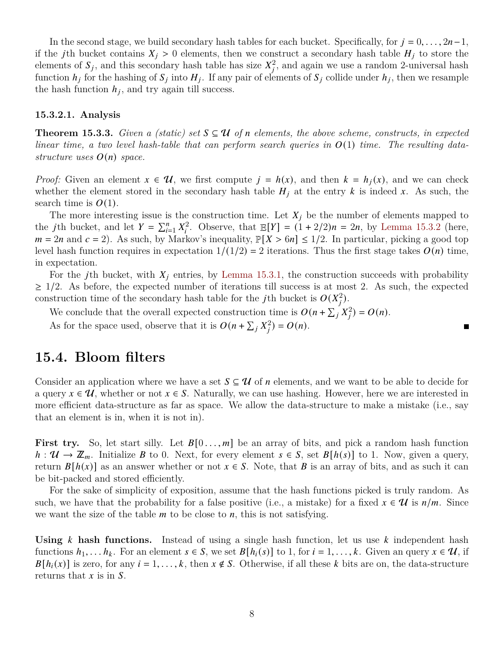In the second stage, we build secondary hash tables for each bucket. Specifically, for  $j = 0, \ldots, 2n-1$ , if the jth bucket contains  $X_j > 0$  elements, then we construct a secondary hash table  $H_j$  to store the elements of  $S_j$ , and this secondary hash table has size  $X_j^2$ , and again we use a random 2-universal hash function  $h_i$  for the hashing of  $S_i$  into  $H_i$ . If any pair of elements of  $S_i$  collide under  $h_i$ , then we resample the hash function  $h_j$ , and try again till success.

#### **15.3.2.1. Analysis**

**Theorem 15.3.3.** *Given a (static) set*  $S \subseteq U$  *of n* elements, the above scheme, constructs, in expected *linear time, a two level hash-table that can perform search queries in* (1) *time. The resulting datastructure uses*  $O(n)$  *space.* 

*Proof:* Given an element  $x \in \mathcal{U}$ , we first compute  $j = h(x)$ , and then  $k = h_j(x)$ , and we can check whether the element stored in the secondary hash table  $H_i$  at the entry k is indeed x. As such, the search time is  $O(1)$ .

The more interesting issue is the construction time. Let  $X_i$  be the number of elements mapped to the *j*th bucket, and let  $Y = \sum_{i=1}^{n} X_i^2$ . Observe, that  $\mathbb{E}[Y] = (1 + 2/2)n = 2n$ , by [Lemma 15.3.2](#page-6-0) (here,  $m = 2n$  and  $c = 2$ ). As such, by Markov's inequality,  $\mathbb{P}[X > 6n] \le 1/2$ . In particular, picking a good top level hash function requires in expectation  $1/(1/2) = 2$  iterations. Thus the first stage takes  $O(n)$  time, in expectation.

For the jth bucket, with  $X_i$  entries, by [Lemma 15.3.1,](#page-5-1) the construction succeeds with probability  $\geq$  1/2. As before, the expected number of iterations till success is at most 2. As such, the expected construction time of the secondary hash table for the *j*th bucket is  $O(X_i^2)$ .

 $\blacksquare$ 

We conclude that the overall expected construction time is  $O(n + \sum_j X_i^2) = O(n)$ .

As for the space used, observe that it is  $O(n + \sum_j X_j^2) = O(n)$ .

## **15.4. Bloom filters**

Consider an application where we have a set  $S \subseteq \mathcal{U}$  of *n* elements, and we want to be able to decide for a query  $x \in \mathcal{U}$ , whether or not  $x \in S$ . Naturally, we can use hashing. However, here we are interested in more efficient data-structure as far as space. We allow the data-structure to make a mistake (i.e., say that an element is in, when it is not in).

**First try.** So, let start silly. Let  $B[0 \dots, m]$  be an array of bits, and pick a random hash function  $h: \mathcal{U} \to \mathbb{Z}_m$ . Initialize B to 0. Next, for every element  $s \in S$ , set  $B[h(s)]$  to 1. Now, given a query, return  $B[h(x)]$  as an answer whether or not  $x \in S$ . Note, that B is an array of bits, and as such it can be bit-packed and stored efficiently.

For the sake of simplicity of exposition, assume that the hash functions picked is truly random. As such, we have that the probability for a false positive (i.e., a mistake) for a fixed  $x \in \mathcal{U}$  is  $n/m$ . Since we want the size of the table  $m$  to be close to  $n$ , this is not satisfying.

**Using** k hash functions. Instead of using a single hash function, let us use k independent hash functions  $h_1, \ldots h_k$ . For an element  $s \in S$ , we set  $B[h_i(s)]$  to 1, for  $i = 1, \ldots, k$ . Given an query  $x \in \mathcal{U}$ , if  $B[h_i(x)]$  is zero, for any  $i = 1, ..., k$ , then  $x \notin S$ . Otherwise, if all these k bits are on, the data-structure returns that  $x$  is in  $S$ .